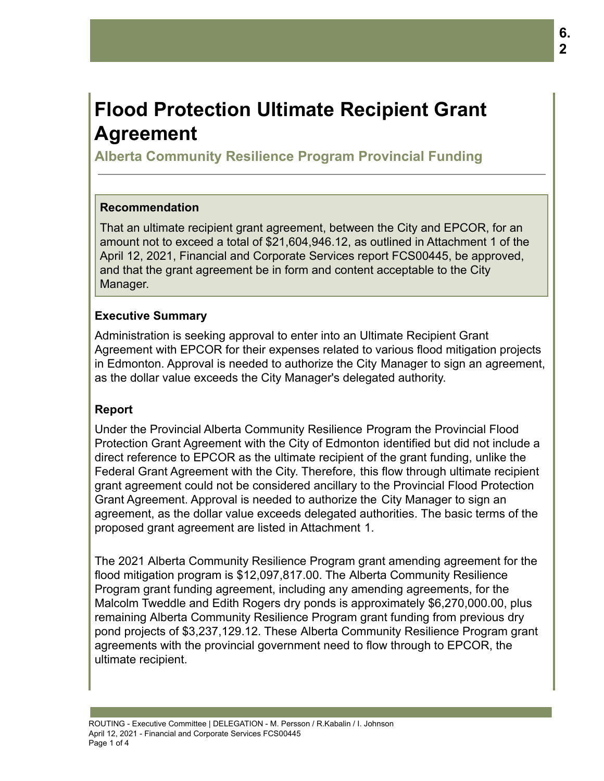# **Flood Protection Ultimate Recipient Grant Agreement**

**Alberta Community Resilience Program Provincial Funding**

## **Recommendation**

That an ultimate recipient grant agreement, between the City and EPCOR, for an amount not to exceed a total of \$21,604,946.12, as outlined in Attachment 1 of the April 12, 2021, Financial and Corporate Services report FCS00445, be approved, and that the grant agreement be in form and content acceptable to the City Manager.

### **Executive Summary**

Administration is seeking approval to enter into an Ultimate Recipient Grant Agreement with EPCOR for their expenses related to various flood mitigation projects in Edmonton. Approval is needed to authorize the City Manager to sign an agreement, as the dollar value exceeds the City Manager's delegated authority.

#### **Report**

Under the Provincial Alberta Community Resilience Program the Provincial Flood Protection Grant Agreement with the City of Edmonton identified but did not include a direct reference to EPCOR as the ultimate recipient of the grant funding, unlike the Federal Grant Agreement with the City. Therefore, this flow through ultimate recipient grant agreement could not be considered ancillary to the Provincial Flood Protection Grant Agreement. Approval is needed to authorize the City Manager to sign an agreement, as the dollar value exceeds delegated authorities. The basic terms of the proposed grant agreement are listed in Attachment 1.

The 2021 Alberta Community Resilience Program grant amending agreement for the flood mitigation program is \$12,097,817.00. The Alberta Community Resilience Program grant funding agreement, including any amending agreements, for the Malcolm Tweddle and Edith Rogers dry ponds is approximately \$6,270,000.00, plus remaining Alberta Community Resilience Program grant funding from previous dry pond projects of \$3,237,129.12. These Alberta Community Resilience Program grant agreements with the provincial government need to flow through to EPCOR, the ultimate recipient.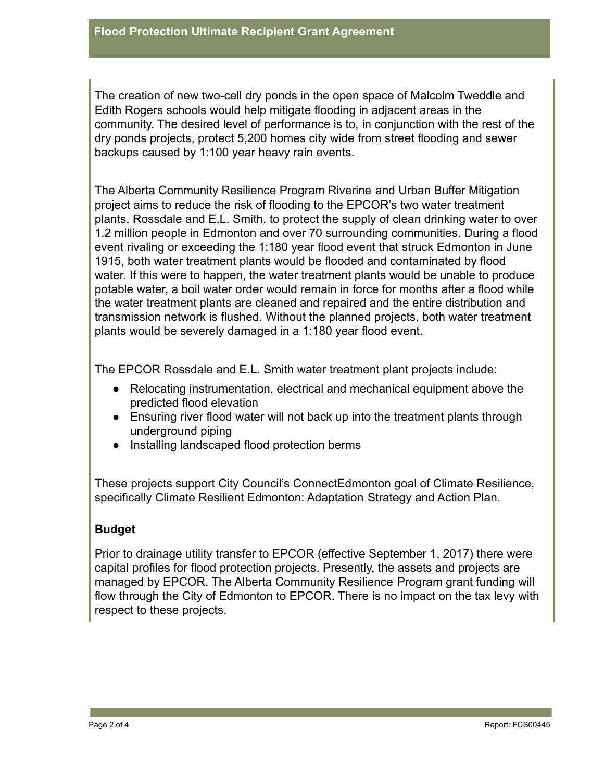The creation of new two-cell dry ponds in the open space of Malcolm Tweddle and Edith Rogers schools would help mitigate flooding in adjacent areas in the community. The desired level of performance is to, in conjunction with the rest of the dry ponds projects, protect 5,200 homes city wide from street flooding and sewer backups caused by 1:100 year heavy rain events.

The Alberta Community Resilience Program Riverine and Urban Buffer Mitigation project aims to reduce the risk of flooding to the EPCOR's two water treatment plants, Rossdale and E.L. Smith, to protect the supply of clean drinking water to over 1.2 million people in Edmonton and over 70 surrounding communities. During a flood event rivaling or exceeding the 1:180 year flood event that struck Edmonton in June 1915, both water treatment plants would be flooded and contaminated by flood water. If this were to happen, the water treatment plants would be unable to produce potable water, a boil water order would remain in force for months after a flood while the water treatment plants are cleaned and repaired and the entire distribution and transmission network is flushed. Without the planned projects, both water treatment plants would be severely damaged in a 1:180 year flood event.

The EPCOR Rossdale and E.L. Smith water treatment plant projects include:

- Relocating instrumentation, electrical and mechanical equipment above the predicted flood elevation
- Ensuring river flood water will not back up into the treatment plants through underground piping
- Installing landscaped flood protection berms

These projects support City Council's ConnectEdmonton goal of Climate Resilience, specifically Climate Resilient Edmonton: Adaptation Strategy and Action Plan.

#### **Budget**

Prior to drainage utility transfer to EPCOR (effective September 1, 2017) there were capital profiles for flood protection projects. Presently, the assets and projects are managed by EPCOR. The Alberta Community Resilience Program grant funding will flow through the City of Edmonton to EPCOR. There is no impact on the tax levy with respect to these projects.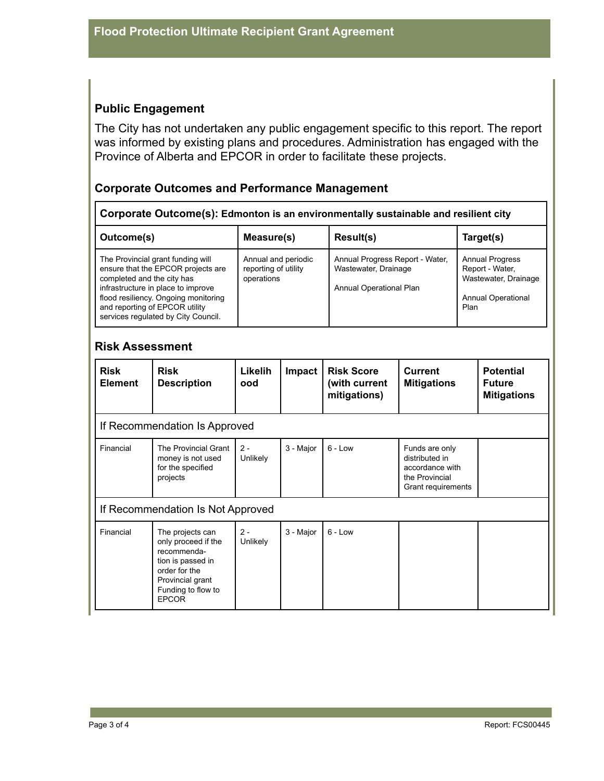# **Public Engagement**

The City has not undertaken any public engagement specific to this report. The report was informed by existing plans and procedures. Administration has engaged with the Province of Alberta and EPCOR in order to facilitate these projects.

#### **Corporate Outcomes and Performance Management**

**Corporate Outcome(s): Edmonton is an environmentally sustainable and resilient city**

| Outcome(s)                                                                                                                                                                                                                                                   | Measure(s)                                                | Result(s)                                                                          | Target(s)                                                                                              |
|--------------------------------------------------------------------------------------------------------------------------------------------------------------------------------------------------------------------------------------------------------------|-----------------------------------------------------------|------------------------------------------------------------------------------------|--------------------------------------------------------------------------------------------------------|
| The Provincial grant funding will<br>ensure that the EPCOR projects are<br>completed and the city has<br>infrastructure in place to improve<br>flood resiliency. Ongoing monitoring<br>and reporting of EPCOR utility<br>services regulated by City Council. | Annual and periodic<br>reporting of utility<br>operations | Annual Progress Report - Water,<br>Wastewater, Drainage<br>Annual Operational Plan | <b>Annual Progress</b><br>Report - Water,<br>Wastewater, Drainage<br><b>Annual Operational</b><br>Plan |

#### **Risk Assessment**

| <b>Risk</b><br><b>Element</b>     | <b>Risk</b><br><b>Description</b>                                                                                                                      | Likelih<br>ood    | <b>Impact</b> | <b>Risk Score</b><br>(with current<br>mitigations) | <b>Current</b><br><b>Mitigations</b>                                                        | <b>Potential</b><br><b>Future</b><br><b>Mitigations</b> |  |
|-----------------------------------|--------------------------------------------------------------------------------------------------------------------------------------------------------|-------------------|---------------|----------------------------------------------------|---------------------------------------------------------------------------------------------|---------------------------------------------------------|--|
| If Recommendation Is Approved     |                                                                                                                                                        |                   |               |                                                    |                                                                                             |                                                         |  |
| Financial                         | The Provincial Grant<br>money is not used<br>for the specified<br>projects                                                                             | $2 -$<br>Unlikely | 3 - Major     | $6 - Low$                                          | Funds are only<br>distributed in<br>accordance with<br>the Provincial<br>Grant requirements |                                                         |  |
| If Recommendation Is Not Approved |                                                                                                                                                        |                   |               |                                                    |                                                                                             |                                                         |  |
| Financial                         | The projects can<br>only proceed if the<br>recommenda-<br>tion is passed in<br>order for the<br>Provincial grant<br>Funding to flow to<br><b>EPCOR</b> | $2 -$<br>Unlikely | 3 - Major     | $6 - Low$                                          |                                                                                             |                                                         |  |